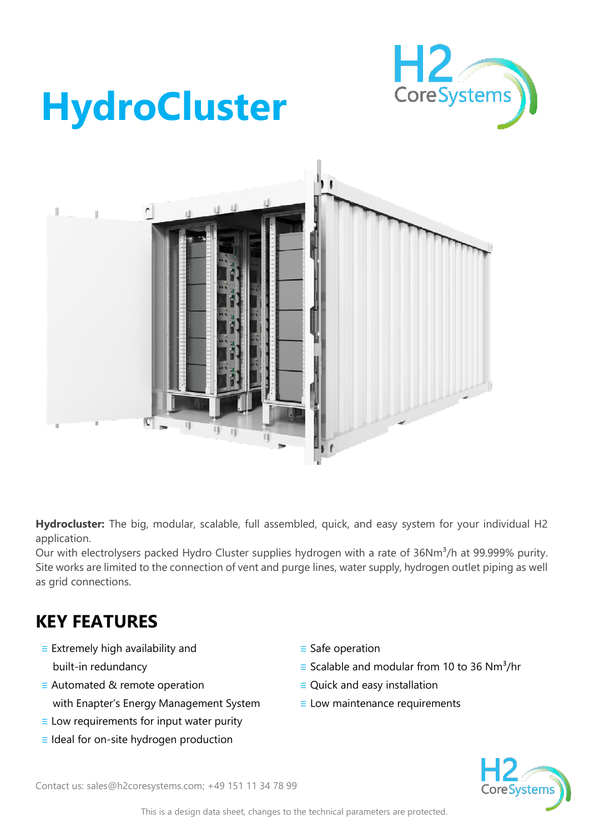

## **HydroCluster**



**Hydrocluster:** The big, modular, scalable, full assembled, quick, and easy system for your individual H2 application.

Our with electrolysers packed Hydro Cluster supplies hydrogen with a rate of 36Nm<sup>3</sup>/h at 99.999% purity. Site works are limited to the connection of vent and purge lines, water supply, hydrogen outlet piping as well as grid connections.

## **KEY FEATURES**

- ≡ Extremely high availability and built-in redundancy
- ≡ Automated & remote operation with Enapter's Energy Management System
- $\equiv$  Low requirements for input water purity
- ≡ Ideal for on-site hydrogen production
- ≡ Safe operation
- $\equiv$  Scalable and modular from 10 to 36 Nm<sup>3</sup>/hr
- ≡ Quick and easy installation
- ≡ Low maintenance requirements



Contact us: sales@h2coresystems.com; +49 151 11 34 78 99